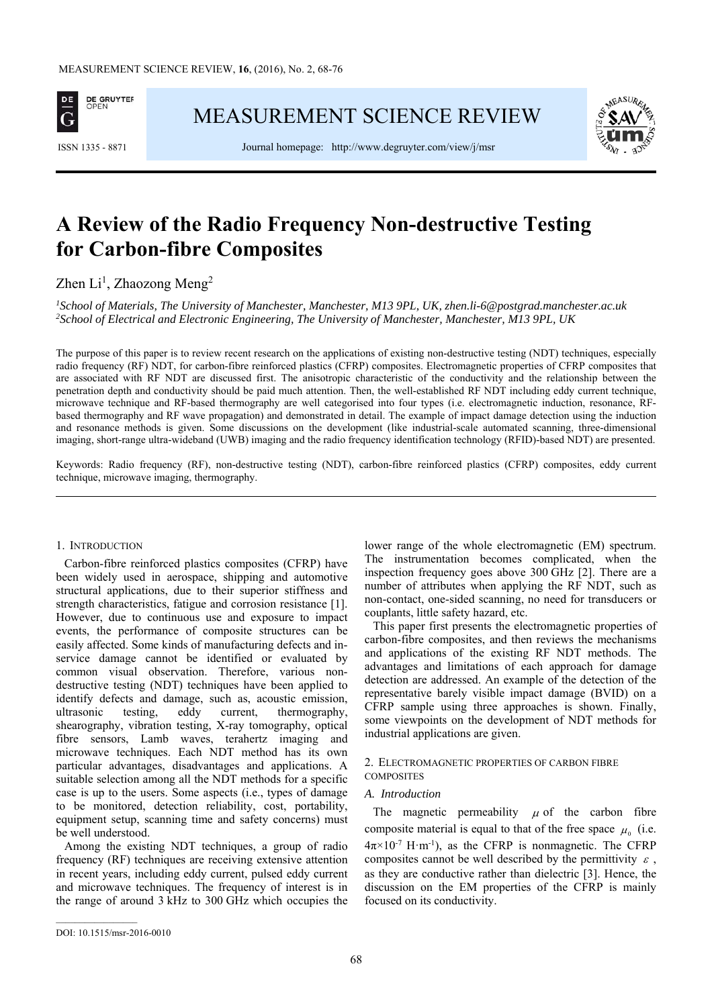

MEASUREMENT SCIENCE REVIEW



ISSN 1335 - 8871 Journal homepage: http://www.degruyter.com/view/j/msr

# **A Review of the Radio Frequency Non-destructive Testing for Carbon-fibre Composites**

Zhen  $Li<sup>1</sup>$ , Zhaozong Meng<sup>2</sup>

*1 School of Materials, The University of Manchester, Manchester, M13 9PL, UK, zhen.li-6@postgrad.manchester.ac.uk 2 School of Electrical and Electronic Engineering, The University of Manchester, Manchester, M13 9PL, UK* 

The purpose of this paper is to review recent research on the applications of existing non-destructive testing (NDT) techniques, especially radio frequency (RF) NDT, for carbon-fibre reinforced plastics (CFRP) composites. Electromagnetic properties of CFRP composites that are associated with RF NDT are discussed first. The anisotropic characteristic of the conductivity and the relationship between the penetration depth and conductivity should be paid much attention. Then, the well-established RF NDT including eddy current technique, microwave technique and RF-based thermography are well categorised into four types (i.e. electromagnetic induction, resonance, RFbased thermography and RF wave propagation) and demonstrated in detail. The example of impact damage detection using the induction and resonance methods is given. Some discussions on the development (like industrial-scale automated scanning, three-dimensional imaging, short-range ultra-wideband (UWB) imaging and the radio frequency identification technology (RFID)-based NDT) are presented.

Keywords: Radio frequency (RF), non-destructive testing (NDT), carbon-fibre reinforced plastics (CFRP) composites, eddy current technique, microwave imaging, thermography.

# 1. INTRODUCTION

Carbon-fibre reinforced plastics composites (CFRP) have been widely used in aerospace, shipping and automotive structural applications, due to their superior stiffness and strength characteristics, fatigue and corrosion resistance [1]. However, due to continuous use and exposure to impact events, the performance of composite structures can be easily affected. Some kinds of manufacturing defects and inservice damage cannot be identified or evaluated by common visual observation. Therefore, various nondestructive testing (NDT) techniques have been applied to identify defects and damage, such as, acoustic emission, ultrasonic testing, eddy current, thermography, shearography, vibration testing, X-ray tomography, optical fibre sensors, Lamb waves, terahertz imaging and microwave techniques. Each NDT method has its own particular advantages, disadvantages and applications. A suitable selection among all the NDT methods for a specific case is up to the users. Some aspects (i.e., types of damage to be monitored, detection reliability, cost, portability, equipment setup, scanning time and safety concerns) must be well understood.

Among the existing NDT techniques, a group of radio frequency (RF) techniques are receiving extensive attention in recent years, including eddy current, pulsed eddy current and microwave techniques. The frequency of interest is in the range of around 3 kHz to 300 GHz which occupies the lower range of the whole electromagnetic (EM) spectrum. The instrumentation becomes complicated, when the inspection frequency goes above 300 GHz [2]. There are a number of attributes when applying the RF NDT, such as non-contact, one-sided scanning, no need for transducers or couplants, little safety hazard, etc.

This paper first presents the electromagnetic properties of carbon-fibre composites, and then reviews the mechanisms and applications of the existing RF NDT methods. The advantages and limitations of each approach for damage detection are addressed. An example of the detection of the representative barely visible impact damage (BVID) on a CFRP sample using three approaches is shown. Finally, some viewpoints on the development of NDT methods for industrial applications are given.

## 2. ELECTROMAGNETIC PROPERTIES OF CARBON FIBRE **COMPOSITES**

# *A. Introduction*

The magnetic permeability  $\mu$  of the carbon fibre composite material is equal to that of the free space  $\mu_0$  (i.e.  $4\pi \times 10^{-7}$  H·m<sup>-1</sup>), as the CFRP is nonmagnetic. The CFRP composites cannot be well described by the permittivity  $\varepsilon$ . as they are conductive rather than dielectric [3]. Hence, the discussion on the EM properties of the CFRP is mainly focused on its conductivity.

 $\mathcal{L}_\text{max}$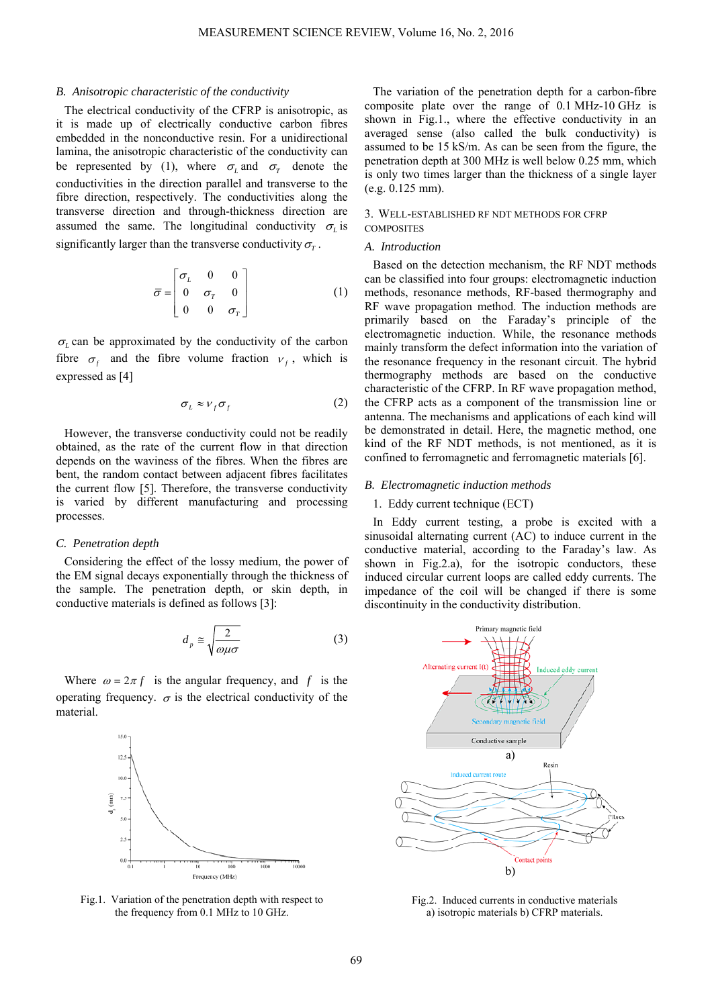### *B. Anisotropic characteristic of the conductivity*

The electrical conductivity of the CFRP is anisotropic, as it is made up of electrically conductive carbon fibres embedded in the nonconductive resin. For a unidirectional lamina, the anisotropic characteristic of the conductivity can be represented by (1), where  $\sigma$ <sub>*L*</sub> and  $\sigma$ <sub>*T*</sub> denote the conductivities in the direction parallel and transverse to the fibre direction, respectively. The conductivities along the transverse direction and through-thickness direction are assumed the same. The longitudinal conductivity  $\sigma$ <sub>*l*</sub> is significantly larger than the transverse conductivity  $\sigma_r$ .

$$
\bar{\sigma} = \begin{bmatrix} \sigma_L & 0 & 0 \\ 0 & \sigma_T & 0 \\ 0 & 0 & \sigma_T \end{bmatrix}
$$
 (1)

 $\sigma$ <sub>L</sub> can be approximated by the conductivity of the carbon fibre  $\sigma_f$  and the fibre volume fraction  $v_f$ , which is expressed as [4]

$$
\sigma_L \approx \nu_f \sigma_f \tag{2}
$$

However, the transverse conductivity could not be readily obtained, as the rate of the current flow in that direction depends on the waviness of the fibres. When the fibres are bent, the random contact between adjacent fibres facilitates the current flow [5]. Therefore, the transverse conductivity is varied by different manufacturing and processing processes.

## *C. Penetration depth*

Considering the effect of the lossy medium, the power of the EM signal decays exponentially through the thickness of the sample. The penetration depth, or skin depth, in conductive materials is defined as follows [3]:

$$
d_p \cong \sqrt{\frac{2}{\omega \mu \sigma}} \tag{3}
$$

Where  $\omega = 2\pi f$  is the angular frequency, and f is the operating frequency.  $\sigma$  is the electrical conductivity of the material.



Fig.1. Variation of the penetration depth with respect to the frequency from 0.1 MHz to 10 GHz.

The variation of the penetration depth for a carbon-fibre composite plate over the range of 0.1 MHz-10 GHz is shown in Fig.1., where the effective conductivity in an averaged sense (also called the bulk conductivity) is assumed to be 15 kS/m. As can be seen from the figure, the penetration depth at 300 MHz is well below 0.25 mm, which is only two times larger than the thickness of a single layer (e.g. 0.125 mm).

## 3. WELL-ESTABLISHED RF NDT METHODS FOR CFRP **COMPOSITES**

#### *A. Introduction*

Based on the detection mechanism, the RF NDT methods can be classified into four groups: electromagnetic induction methods, resonance methods, RF-based thermography and RF wave propagation method. The induction methods are primarily based on the Faraday's principle of the electromagnetic induction. While, the resonance methods mainly transform the defect information into the variation of the resonance frequency in the resonant circuit. The hybrid thermography methods are based on the conductive characteristic of the CFRP. In RF wave propagation method, the CFRP acts as a component of the transmission line or antenna. The mechanisms and applications of each kind will be demonstrated in detail. Here, the magnetic method, one kind of the RF NDT methods, is not mentioned, as it is confined to ferromagnetic and ferromagnetic materials [6].

## *B. Electromagnetic induction methods*

# 1. Eddy current technique (ECT)

In Eddy current testing, a probe is excited with a sinusoidal alternating current (AC) to induce current in the conductive material, according to the Faraday's law. As shown in Fig.2.a), for the isotropic conductors, these induced circular current loops are called eddy currents. The impedance of the coil will be changed if there is some discontinuity in the conductivity distribution.



Fig.2. Induced currents in conductive materials a) isotropic materials b) CFRP materials.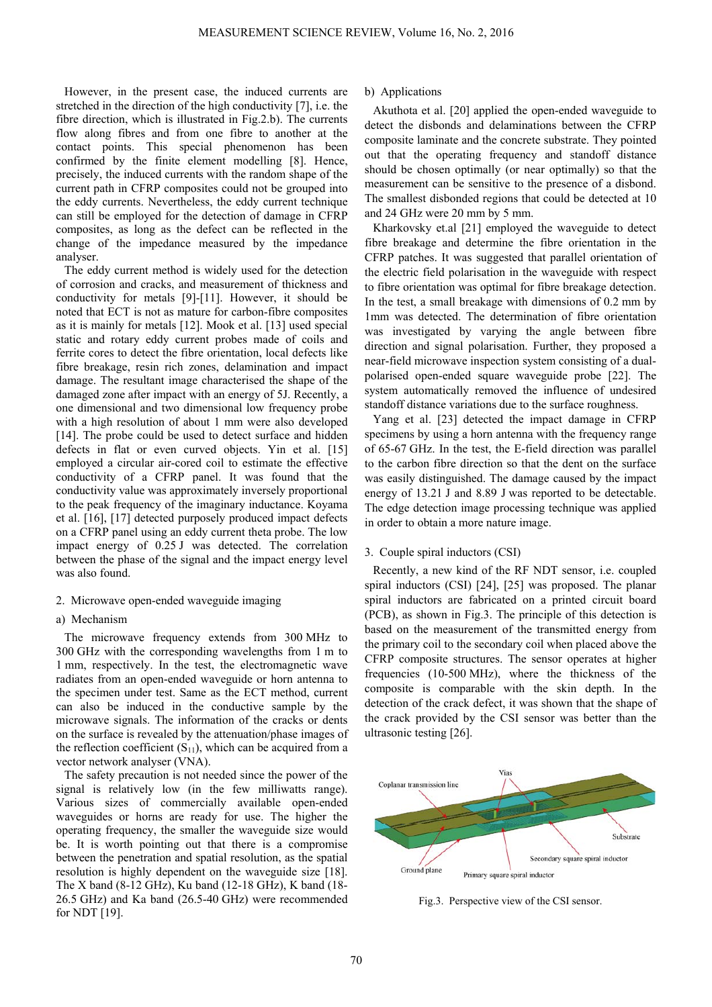However, in the present case, the induced currents are stretched in the direction of the high conductivity [7], i.e. the fibre direction, which is illustrated in Fig.2.b). The currents flow along fibres and from one fibre to another at the contact points. This special phenomenon has been confirmed by the finite element modelling [8]. Hence, precisely, the induced currents with the random shape of the current path in CFRP composites could not be grouped into the eddy currents. Nevertheless, the eddy current technique can still be employed for the detection of damage in CFRP composites, as long as the defect can be reflected in the change of the impedance measured by the impedance analyser.

The eddy current method is widely used for the detection of corrosion and cracks, and measurement of thickness and conductivity for metals [9]-[11]. However, it should be noted that ECT is not as mature for carbon-fibre composites as it is mainly for metals [12]. Mook et al. [13] used special static and rotary eddy current probes made of coils and ferrite cores to detect the fibre orientation, local defects like fibre breakage, resin rich zones, delamination and impact damage. The resultant image characterised the shape of the damaged zone after impact with an energy of 5J. Recently, a one dimensional and two dimensional low frequency probe with a high resolution of about 1 mm were also developed [14]. The probe could be used to detect surface and hidden defects in flat or even curved objects. Yin et al. [15] employed a circular air-cored coil to estimate the effective conductivity of a CFRP panel. It was found that the conductivity value was approximately inversely proportional to the peak frequency of the imaginary inductance. Koyama et al. [16], [17] detected purposely produced impact defects on a CFRP panel using an eddy current theta probe. The low impact energy of 0.25 J was detected. The correlation between the phase of the signal and the impact energy level was also found.

# 2. Microwave open-ended waveguide imaging

# a) Mechanism

The microwave frequency extends from 300 MHz to 300 GHz with the corresponding wavelengths from 1 m to 1 mm, respectively. In the test, the electromagnetic wave radiates from an open-ended waveguide or horn antenna to the specimen under test. Same as the ECT method, current can also be induced in the conductive sample by the microwave signals. The information of the cracks or dents on the surface is revealed by the attenuation/phase images of the reflection coefficient  $(S_{11})$ , which can be acquired from a vector network analyser (VNA).

The safety precaution is not needed since the power of the signal is relatively low (in the few milliwatts range). Various sizes of commercially available open-ended waveguides or horns are ready for use. The higher the operating frequency, the smaller the waveguide size would be. It is worth pointing out that there is a compromise between the penetration and spatial resolution, as the spatial resolution is highly dependent on the waveguide size [18]. The X band (8-12 GHz), Ku band (12-18 GHz), K band (18- 26.5 GHz) and Ka band (26.5-40 GHz) were recommended for NDT [19].

## b) Applications

Akuthota et al. [20] applied the open-ended waveguide to detect the disbonds and delaminations between the CFRP composite laminate and the concrete substrate. They pointed out that the operating frequency and standoff distance should be chosen optimally (or near optimally) so that the measurement can be sensitive to the presence of a disbond. The smallest disbonded regions that could be detected at 10 and 24 GHz were 20 mm by 5 mm.

Kharkovsky et.al [21] employed the waveguide to detect fibre breakage and determine the fibre orientation in the CFRP patches. It was suggested that parallel orientation of the electric field polarisation in the waveguide with respect to fibre orientation was optimal for fibre breakage detection. In the test, a small breakage with dimensions of 0.2 mm by 1mm was detected. The determination of fibre orientation was investigated by varying the angle between fibre direction and signal polarisation. Further, they proposed a near-field microwave inspection system consisting of a dualpolarised open-ended square waveguide probe [22]. The system automatically removed the influence of undesired standoff distance variations due to the surface roughness.

Yang et al. [23] detected the impact damage in CFRP specimens by using a horn antenna with the frequency range of 65-67 GHz. In the test, the E-field direction was parallel to the carbon fibre direction so that the dent on the surface was easily distinguished. The damage caused by the impact energy of 13.21 J and 8.89 J was reported to be detectable. The edge detection image processing technique was applied in order to obtain a more nature image.

## 3. Couple spiral inductors (CSI)

Recently, a new kind of the RF NDT sensor, i.e. coupled spiral inductors (CSI) [24], [25] was proposed. The planar spiral inductors are fabricated on a printed circuit board (PCB), as shown in Fig.3. The principle of this detection is based on the measurement of the transmitted energy from the primary coil to the secondary coil when placed above the CFRP composite structures. The sensor operates at higher frequencies (10-500 MHz), where the thickness of the composite is comparable with the skin depth. In the detection of the crack defect, it was shown that the shape of the crack provided by the CSI sensor was better than the ultrasonic testing [26].



Fig.3. Perspective view of the CSI sensor.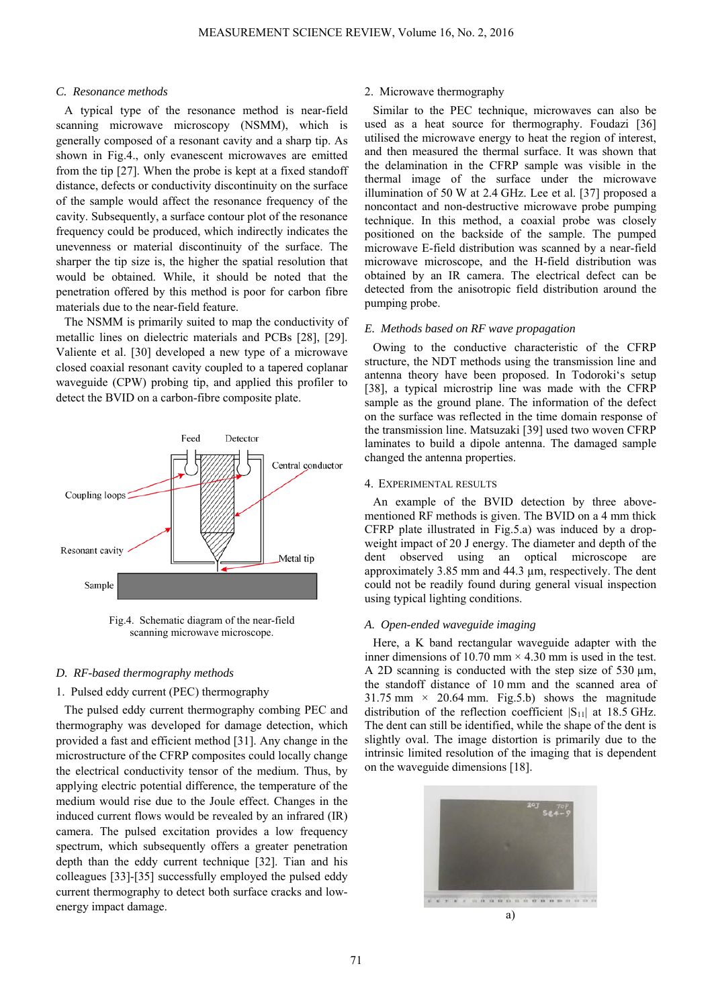# *C. Resonance methods*

A typical type of the resonance method is near-field scanning microwave microscopy (NSMM), which is generally composed of a resonant cavity and a sharp tip. As shown in Fig.4., only evanescent microwaves are emitted from the tip [27]. When the probe is kept at a fixed standoff distance, defects or conductivity discontinuity on the surface of the sample would affect the resonance frequency of the cavity. Subsequently, a surface contour plot of the resonance frequency could be produced, which indirectly indicates the unevenness or material discontinuity of the surface. The sharper the tip size is, the higher the spatial resolution that would be obtained. While, it should be noted that the penetration offered by this method is poor for carbon fibre materials due to the near-field feature.

The NSMM is primarily suited to map the conductivity of metallic lines on dielectric materials and PCBs [28], [29]. Valiente et al. [30] developed a new type of a microwave closed coaxial resonant cavity coupled to a tapered coplanar waveguide (CPW) probing tip, and applied this profiler to detect the BVID on a carbon-fibre composite plate.



Fig.4. Schematic diagram of the near-field scanning microwave microscope.

# *D. RF-based thermography methods*

# 1. Pulsed eddy current (PEC) thermography

The pulsed eddy current thermography combing PEC and thermography was developed for damage detection, which provided a fast and efficient method [31]. Any change in the microstructure of the CFRP composites could locally change the electrical conductivity tensor of the medium. Thus, by applying electric potential difference, the temperature of the medium would rise due to the Joule effect. Changes in the induced current flows would be revealed by an infrared (IR) camera. The pulsed excitation provides a low frequency spectrum, which subsequently offers a greater penetration depth than the eddy current technique [32]. Tian and his colleagues [33]-[35] successfully employed the pulsed eddy current thermography to detect both surface cracks and lowenergy impact damage.

# 2. Microwave thermography

Similar to the PEC technique, microwaves can also be used as a heat source for thermography. Foudazi [36] utilised the microwave energy to heat the region of interest, and then measured the thermal surface. It was shown that the delamination in the CFRP sample was visible in the thermal image of the surface under the microwave illumination of 50 W at 2.4 GHz. Lee et al. [37] proposed a noncontact and non-destructive microwave probe pumping technique. In this method, a coaxial probe was closely positioned on the backside of the sample. The pumped microwave E-field distribution was scanned by a near-field microwave microscope, and the H-field distribution was obtained by an IR camera. The electrical defect can be detected from the anisotropic field distribution around the pumping probe.

# *E. Methods based on RF wave propagation*

Owing to the conductive characteristic of the CFRP structure, the NDT methods using the transmission line and antenna theory have been proposed. In Todoroki's setup [38], a typical microstrip line was made with the CFRP sample as the ground plane. The information of the defect on the surface was reflected in the time domain response of the transmission line. Matsuzaki [39] used two woven CFRP laminates to build a dipole antenna. The damaged sample changed the antenna properties.

# 4. EXPERIMENTAL RESULTS

An example of the BVID detection by three abovementioned RF methods is given. The BVID on a 4 mm thick CFRP plate illustrated in Fig.5.a) was induced by a dropweight impact of 20 J energy. The diameter and depth of the dent observed using an optical microscope are approximately 3.85 mm and 44.3 µm, respectively. The dent could not be readily found during general visual inspection using typical lighting conditions.

# *A. Open-ended waveguide imaging*

Here, a K band rectangular waveguide adapter with the inner dimensions of 10.70 mm  $\times$  4.30 mm is used in the test. A 2D scanning is conducted with the step size of 530  $\mu$ m, the standoff distance of 10 mm and the scanned area of  $31.75$  mm  $\times$  20.64 mm. Fig.5.b) shows the magnitude distribution of the reflection coefficient  $|S_{11}|$  at 18.5 GHz. The dent can still be identified, while the shape of the dent is slightly oval. The image distortion is primarily due to the intrinsic limited resolution of the imaging that is dependent on the waveguide dimensions [18].

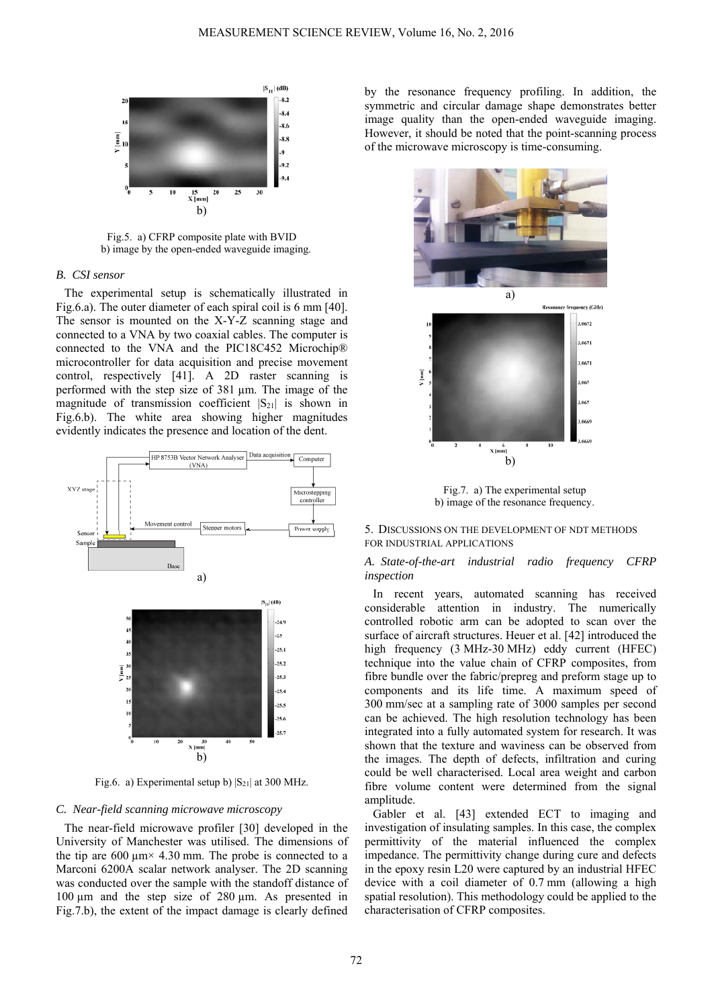

Fig.5. a) CFRP composite plate with BVID b) image by the open-ended waveguide imaging.

# *B. CSI sensor*

The experimental setup is schematically illustrated in Fig.6.a). The outer diameter of each spiral coil is 6 mm [40]. The sensor is mounted on the X-Y-Z scanning stage and connected to a VNA by two coaxial cables. The computer is connected to the VNA and the PIC18C452 Microchip® microcontroller for data acquisition and precise movement control, respectively [41]. A 2D raster scanning is performed with the step size of 381 µm. The image of the magnitude of transmission coefficient  $|S_{21}|$  is shown in Fig.6.b). The white area showing higher magnitudes evidently indicates the presence and location of the dent.



Fig.6. a) Experimental setup b)  $|S_{21}|$  at 300 MHz.

# *C. Near-field scanning microwave microscopy*

The near-field microwave profiler [30] developed in the University of Manchester was utilised. The dimensions of the tip are  $600 \mu m \times 4.30 \mu m$ . The probe is connected to a Marconi 6200A scalar network analyser. The 2D scanning was conducted over the sample with the standoff distance of 100 µm and the step size of 280 µm. As presented in Fig.7.b), the extent of the impact damage is clearly defined

by the resonance frequency profiling. In addition, the symmetric and circular damage shape demonstrates better image quality than the open-ended waveguide imaging. However, it should be noted that the point-scanning process of the microwave microscopy is time-consuming.



Fig.7. a) The experimental setup b) image of the resonance frequency.

# 5. DISCUSSIONS ON THE DEVELOPMENT OF NDT METHODS FOR INDUSTRIAL APPLICATIONS

# *A. State-of-the-art industrial radio frequency CFRP inspection*

In recent years, automated scanning has received considerable attention in industry. The numerically controlled robotic arm can be adopted to scan over the surface of aircraft structures. Heuer et al. [42] introduced the high frequency (3 MHz-30 MHz) eddy current (HFEC) technique into the value chain of CFRP composites, from fibre bundle over the fabric/prepreg and preform stage up to components and its life time. A maximum speed of 300 mm/sec at a sampling rate of 3000 samples per second can be achieved. The high resolution technology has been integrated into a fully automated system for research. It was shown that the texture and waviness can be observed from the images. The depth of defects, infiltration and curing could be well characterised. Local area weight and carbon fibre volume content were determined from the signal amplitude.

Gabler et al. [43] extended ECT to imaging and investigation of insulating samples. In this case, the complex permittivity of the material influenced the complex impedance. The permittivity change during cure and defects in the epoxy resin L20 were captured by an industrial HFEC device with a coil diameter of 0.7 mm (allowing a high spatial resolution). This methodology could be applied to the characterisation of CFRP composites.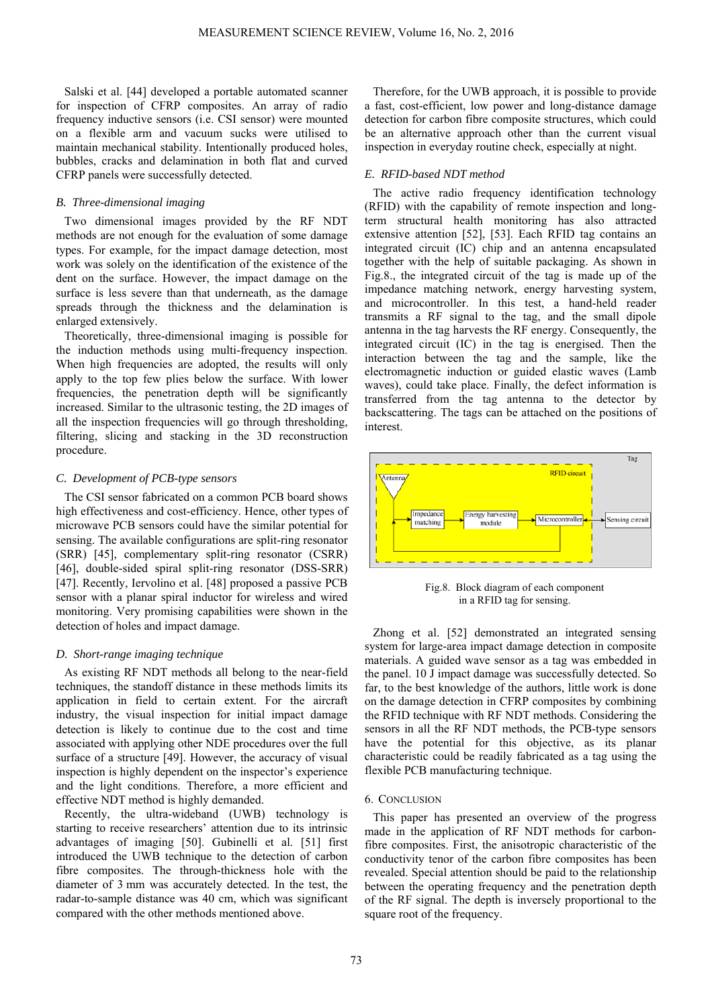Salski et al. [44] developed a portable automated scanner for inspection of CFRP composites. An array of radio frequency inductive sensors (i.e. CSI sensor) were mounted on a flexible arm and vacuum sucks were utilised to maintain mechanical stability. Intentionally produced holes, bubbles, cracks and delamination in both flat and curved CFRP panels were successfully detected.

# *B. Three-dimensional imaging*

Two dimensional images provided by the RF NDT methods are not enough for the evaluation of some damage types. For example, for the impact damage detection, most work was solely on the identification of the existence of the dent on the surface. However, the impact damage on the surface is less severe than that underneath, as the damage spreads through the thickness and the delamination is enlarged extensively.

Theoretically, three-dimensional imaging is possible for the induction methods using multi-frequency inspection. When high frequencies are adopted, the results will only apply to the top few plies below the surface. With lower frequencies, the penetration depth will be significantly increased. Similar to the ultrasonic testing, the 2D images of all the inspection frequencies will go through thresholding, filtering, slicing and stacking in the 3D reconstruction procedure.

## *C. Development of PCB-type sensors*

The CSI sensor fabricated on a common PCB board shows high effectiveness and cost-efficiency. Hence, other types of microwave PCB sensors could have the similar potential for sensing. The available configurations are split-ring resonator (SRR) [45], complementary split-ring resonator (CSRR) [46], double-sided spiral split-ring resonator (DSS-SRR) [47]. Recently, Iervolino et al. [48] proposed a passive PCB sensor with a planar spiral inductor for wireless and wired monitoring. Very promising capabilities were shown in the detection of holes and impact damage.

# *D. Short-range imaging technique*

As existing RF NDT methods all belong to the near-field techniques, the standoff distance in these methods limits its application in field to certain extent. For the aircraft industry, the visual inspection for initial impact damage detection is likely to continue due to the cost and time associated with applying other NDE procedures over the full surface of a structure [49]. However, the accuracy of visual inspection is highly dependent on the inspector's experience and the light conditions. Therefore, a more efficient and effective NDT method is highly demanded.

Recently, the ultra-wideband (UWB) technology is starting to receive researchers' attention due to its intrinsic advantages of imaging [50]. Gubinelli et al. [51] first introduced the UWB technique to the detection of carbon fibre composites. The through-thickness hole with the diameter of 3 mm was accurately detected. In the test, the radar-to-sample distance was 40 cm, which was significant compared with the other methods mentioned above.

Therefore, for the UWB approach, it is possible to provide a fast, cost-efficient, low power and long-distance damage detection for carbon fibre composite structures, which could be an alternative approach other than the current visual inspection in everyday routine check, especially at night.

# *E. RFID-based NDT method*

The active radio frequency identification technology (RFID) with the capability of remote inspection and longterm structural health monitoring has also attracted extensive attention [52], [53]. Each RFID tag contains an integrated circuit (IC) chip and an antenna encapsulated together with the help of suitable packaging. As shown in Fig.8., the integrated circuit of the tag is made up of the impedance matching network, energy harvesting system, and microcontroller. In this test, a hand-held reader transmits a RF signal to the tag, and the small dipole antenna in the tag harvests the RF energy. Consequently, the integrated circuit (IC) in the tag is energised. Then the interaction between the tag and the sample, like the electromagnetic induction or guided elastic waves (Lamb waves), could take place. Finally, the defect information is transferred from the tag antenna to the detector by backscattering. The tags can be attached on the positions of interest.



Fig.8. Block diagram of each component in a RFID tag for sensing.

Zhong et al. [52] demonstrated an integrated sensing system for large-area impact damage detection in composite materials. A guided wave sensor as a tag was embedded in the panel. 10 J impact damage was successfully detected. So far, to the best knowledge of the authors, little work is done on the damage detection in CFRP composites by combining the RFID technique with RF NDT methods. Considering the sensors in all the RF NDT methods, the PCB-type sensors have the potential for this objective, as its planar characteristic could be readily fabricated as a tag using the flexible PCB manufacturing technique.

# 6. CONCLUSION

This paper has presented an overview of the progress made in the application of RF NDT methods for carbonfibre composites. First, the anisotropic characteristic of the conductivity tenor of the carbon fibre composites has been revealed. Special attention should be paid to the relationship between the operating frequency and the penetration depth of the RF signal. The depth is inversely proportional to the square root of the frequency.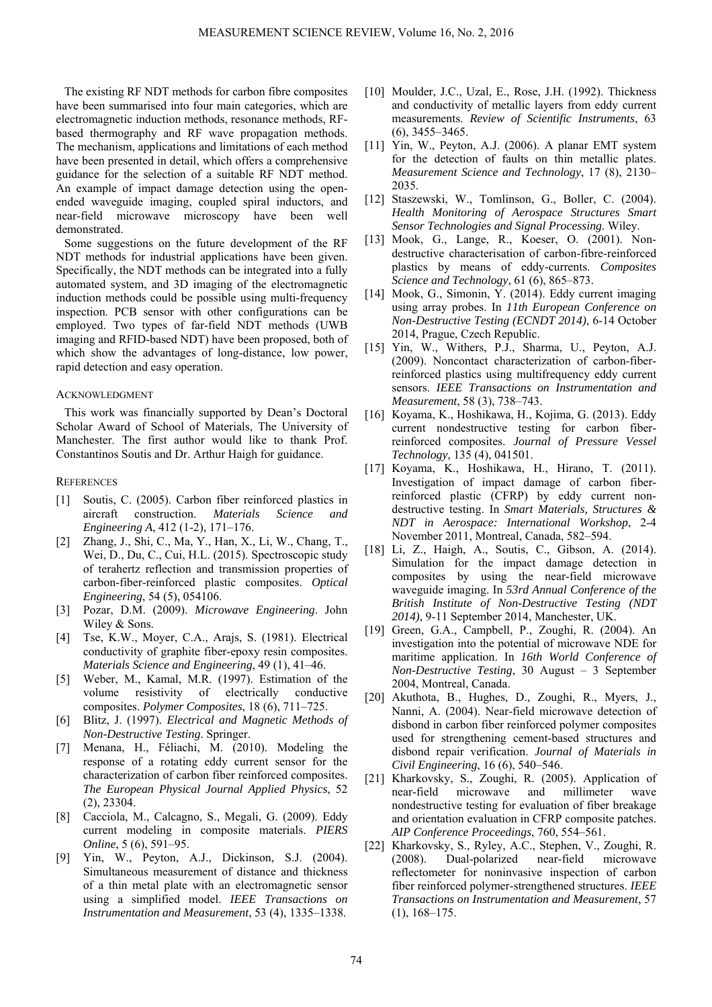The existing RF NDT methods for carbon fibre composites have been summarised into four main categories, which are electromagnetic induction methods, resonance methods, RFbased thermography and RF wave propagation methods. The mechanism, applications and limitations of each method have been presented in detail, which offers a comprehensive guidance for the selection of a suitable RF NDT method. An example of impact damage detection using the openended waveguide imaging, coupled spiral inductors, and near-field microwave microscopy have been well demonstrated.

Some suggestions on the future development of the RF NDT methods for industrial applications have been given. Specifically, the NDT methods can be integrated into a fully automated system, and 3D imaging of the electromagnetic induction methods could be possible using multi-frequency inspection. PCB sensor with other configurations can be employed. Two types of far-field NDT methods (UWB imaging and RFID-based NDT) have been proposed, both of which show the advantages of long-distance, low power, rapid detection and easy operation.

# ACKNOWLEDGMENT

This work was financially supported by Dean's Doctoral Scholar Award of School of Materials, The University of Manchester. The first author would like to thank Prof. Constantinos Soutis and Dr. Arthur Haigh for guidance.

# **REFERENCES**

- [1] Soutis, C. (2005). Carbon fiber reinforced plastics in aircraft construction. *Materials Science and Engineering A*, 412 (1-2), 171–176.
- [2] Zhang, J., Shi, C., Ma, Y., Han, X., Li, W., Chang, T., Wei, D., Du, C., Cui, H.L. (2015). Spectroscopic study of terahertz reflection and transmission properties of carbon-fiber-reinforced plastic composites. *Optical Engineering*, 54 (5), 054106.
- [3] Pozar, D.M. (2009). *Microwave Engineering*. John Wiley & Sons.
- [4] Tse, K.W., Moyer, C.A., Arajs, S. (1981). Electrical conductivity of graphite fiber-epoxy resin composites. *Materials Science and Engineering*, 49 (1), 41–46.
- [5] Weber, M., Kamal, M.R. (1997). Estimation of the volume resistivity of electrically conductive composites. *Polymer Composites*, 18 (6), 711–725.
- [6] Blitz, J. (1997). *Electrical and Magnetic Methods of Non-Destructive Testing*. Springer.
- [7] Menana, H., Féliachi, M. (2010). Modeling the response of a rotating eddy current sensor for the characterization of carbon fiber reinforced composites. *The European Physical Journal Applied Physics*, 52  $(2)$ , 2330 $4$ .
- [8] Cacciola, M., Calcagno, S., Megali, G. (2009). Eddy current modeling in composite materials. *PIERS Online*, 5 (6), 591–95.
- [9] Yin, W., Peyton, A.J., Dickinson, S.J. (2004). Simultaneous measurement of distance and thickness of a thin metal plate with an electromagnetic sensor using a simplified model. *IEEE Transactions on Instrumentation and Measurement*, 53 (4), 1335–1338.
- [10] Moulder, J.C., Uzal, E., Rose, J.H. (1992). Thickness and conductivity of metallic layers from eddy current measurements. *Review of Scientific Instruments*, 63 (6), 3455–3465.
- [11] Yin, W., Peyton, A.J. (2006). A planar EMT system for the detection of faults on thin metallic plates. *Measurement Science and Technology*, 17 (8), 2130– 2035.
- [12] Staszewski, W., Tomlinson, G., Boller, C. (2004). *Health Monitoring of Aerospace Structures Smart Sensor Technologies and Signal Processing*. Wiley.
- [13] Mook, G., Lange, R., Koeser, O. (2001). Nondestructive characterisation of carbon-fibre-reinforced plastics by means of eddy-currents. *Composites Science and Technology*, 61 (6), 865–873.
- [14] Mook, G., Simonin, Y. (2014). Eddy current imaging using array probes. In *11th European Conference on Non-Destructive Testing (ECNDT 2014)*, 6-14 October 2014, Prague, Czech Republic.
- [15] Yin, W., Withers, P.J., Sharma, U., Peyton, A.J. (2009). Noncontact characterization of carbon-fiberreinforced plastics using multifrequency eddy current sensors. *IEEE Transactions on Instrumentation and Measurement*, 58 (3), 738–743.
- [16] Koyama, K., Hoshikawa, H., Kojima, G. (2013). Eddy current nondestructive testing for carbon fiberreinforced composites. *Journal of Pressure Vessel Technology*, 135 (4), 041501.
- [17] Koyama, K., Hoshikawa, H., Hirano, T. (2011). Investigation of impact damage of carbon fiberreinforced plastic (CFRP) by eddy current nondestructive testing. In *Smart Materials, Structures & NDT in Aerospace: International Workshop*, 2-4 November 2011, Montreal, Canada, 582–594.
- [18] Li, Z., Haigh, A., Soutis, C., Gibson, A. (2014). Simulation for the impact damage detection in composites by using the near-field microwave waveguide imaging. In *53rd Annual Conference of the British Institute of Non-Destructive Testing (NDT 2014)*, 9-11 September 2014, Manchester, UK.
- [19] Green, G.A., Campbell, P., Zoughi, R. (2004). An investigation into the potential of microwave NDE for maritime application. In *16th World Conference of Non-Destructive Testing*, 30 August – 3 September 2004, Montreal, Canada.
- [20] Akuthota, B., Hughes, D., Zoughi, R., Myers, J., Nanni, A. (2004). Near-field microwave detection of disbond in carbon fiber reinforced polymer composites used for strengthening cement-based structures and disbond repair verification. *Journal of Materials in Civil Engineering*, 16 (6), 540–546.
- [21] Kharkovsky, S., Zoughi, R. (2005). Application of near-field microwave and millimeter wave nondestructive testing for evaluation of fiber breakage and orientation evaluation in CFRP composite patches. *AIP Conference Proceedings*, 760, 554–561.
- [22] Kharkovsky, S., Ryley, A.C., Stephen, V., Zoughi, R. (2008). Dual-polarized near-field microwave reflectometer for noninvasive inspection of carbon fiber reinforced polymer-strengthened structures. *IEEE Transactions on Instrumentation and Measurement*, 57 (1), 168–175.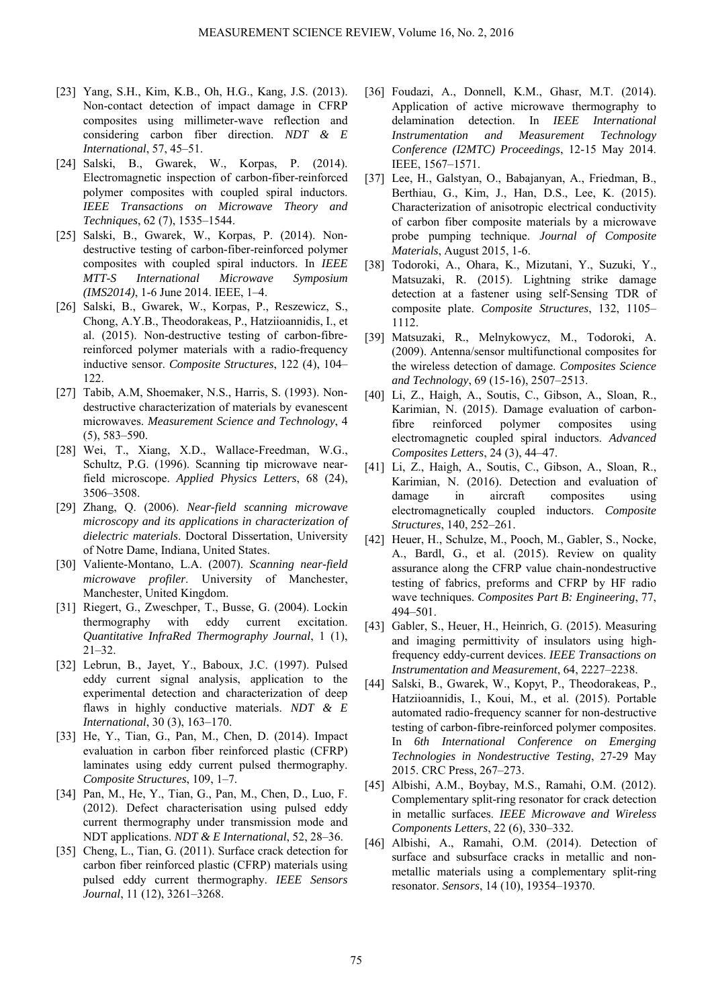- [23] Yang, S.H., Kim, K.B., Oh, H.G., Kang, J.S. (2013). Non-contact detection of impact damage in CFRP composites using millimeter-wave reflection and considering carbon fiber direction. *NDT & E International*, 57, 45–51.
- [24] Salski, B., Gwarek, W., Korpas, P. (2014). Electromagnetic inspection of carbon-fiber-reinforced polymer composites with coupled spiral inductors. *IEEE Transactions on Microwave Theory and Techniques*, 62 (7), 1535–1544.
- [25] Salski, B., Gwarek, W., Korpas, P. (2014). Nondestructive testing of carbon-fiber-reinforced polymer composites with coupled spiral inductors. In *IEEE MTT-S International Microwave Symposium (IMS2014)*, 1-6 June 2014. IEEE, 1–4.
- [26] Salski, B., Gwarek, W., Korpas, P., Reszewicz, S., Chong, A.Y.B., Theodorakeas, P., Hatziioannidis, I., et al. (2015). Non-destructive testing of carbon-fibrereinforced polymer materials with a radio-frequency inductive sensor. *Composite Structures*, 122 (4), 104– 122.
- [27] Tabib, A.M, Shoemaker, N.S., Harris, S. (1993). Nondestructive characterization of materials by evanescent microwaves. *Measurement Science and Technology*, 4 (5), 583–590.
- [28] Wei, T., Xiang, X.D., Wallace-Freedman, W.G., Schultz, P.G. (1996). Scanning tip microwave nearfield microscope. *Applied Physics Letters*, 68 (24), 3506–3508.
- [29] Zhang, Q. (2006). *Near-field scanning microwave microscopy and its applications in characterization of dielectric materials*. Doctoral Dissertation, University of Notre Dame, Indiana, United States.
- [30] Valiente-Montano, L.A. (2007). *Scanning near-field microwave profiler*. University of Manchester, Manchester, United Kingdom.
- [31] Riegert, G., Zweschper, T., Busse, G. (2004). Lockin thermography with eddy current excitation. *Quantitative InfraRed Thermography Journal*, 1 (1), 21–32.
- [32] Lebrun, B., Jayet, Y., Baboux, J.C. (1997). Pulsed eddy current signal analysis, application to the experimental detection and characterization of deep flaws in highly conductive materials. *NDT & E International*, 30 (3), 163–170.
- [33] He, Y., Tian, G., Pan, M., Chen, D. (2014). Impact evaluation in carbon fiber reinforced plastic (CFRP) laminates using eddy current pulsed thermography. *Composite Structures*, 109, 1–7.
- [34] Pan, M., He, Y., Tian, G., Pan, M., Chen, D., Luo, F. (2012). Defect characterisation using pulsed eddy current thermography under transmission mode and NDT applications. *NDT & E International*, 52, 28–36.
- [35] Cheng, L., Tian, G. (2011). Surface crack detection for carbon fiber reinforced plastic (CFRP) materials using pulsed eddy current thermography. *IEEE Sensors Journal*, 11 (12), 3261–3268.
- [36] Foudazi, A., Donnell, K.M., Ghasr, M.T. (2014). Application of active microwave thermography to delamination detection. In *IEEE International Instrumentation and Measurement Technology Conference (I2MTC) Proceedings*, 12-15 May 2014. IEEE, 1567–1571.
- [37] Lee, H., Galstyan, O., Babajanyan, A., Friedman, B., Berthiau, G., Kim, J., Han, D.S., Lee, K. (2015). Characterization of anisotropic electrical conductivity of carbon fiber composite materials by a microwave probe pumping technique. *Journal of Composite Materials*, August 2015, 1-6.
- [38] Todoroki, A., Ohara, K., Mizutani, Y., Suzuki, Y., Matsuzaki, R. (2015). Lightning strike damage detection at a fastener using self-Sensing TDR of composite plate. *Composite Structures*, 132, 1105– 1112.
- [39] Matsuzaki, R., Melnykowycz, M., Todoroki, A. (2009). Antenna/sensor multifunctional composites for the wireless detection of damage. *Composites Science and Technology*, 69 (15-16), 2507–2513.
- [40] Li, Z., Haigh, A., Soutis, C., Gibson, A., Sloan, R., Karimian, N. (2015). Damage evaluation of carbonfibre reinforced polymer composites using electromagnetic coupled spiral inductors. *Advanced Composites Letters*, 24 (3), 44–47.
- [41] Li, Z., Haigh, A., Soutis, C., Gibson, A., Sloan, R., Karimian, N. (2016). Detection and evaluation of damage in aircraft composites using electromagnetically coupled inductors. *Composite Structures*, 140, 252–261.
- [42] Heuer, H., Schulze, M., Pooch, M., Gabler, S., Nocke, A., Bardl, G., et al. (2015). Review on quality assurance along the CFRP value chain-nondestructive testing of fabrics, preforms and CFRP by HF radio wave techniques. *Composites Part B: Engineering*, 77, 494–501.
- [43] Gabler, S., Heuer, H., Heinrich, G. (2015). Measuring and imaging permittivity of insulators using highfrequency eddy-current devices. *IEEE Transactions on Instrumentation and Measurement*, 64, 2227–2238.
- [44] Salski, B., Gwarek, W., Kopyt, P., Theodorakeas, P., Hatziioannidis, I., Koui, M., et al. (2015). Portable automated radio-frequency scanner for non-destructive testing of carbon-fibre-reinforced polymer composites. In *6th International Conference on Emerging Technologies in Nondestructive Testing*, 27-29 May 2015. CRC Press, 267–273.
- [45] Albishi, A.M., Boybay, M.S., Ramahi, O.M. (2012). Complementary split-ring resonator for crack detection in metallic surfaces. *IEEE Microwave and Wireless Components Letters*, 22 (6), 330–332.
- [46] Albishi, A., Ramahi, O.M. (2014). Detection of surface and subsurface cracks in metallic and nonmetallic materials using a complementary split-ring resonator. *Sensors*, 14 (10), 19354–19370.